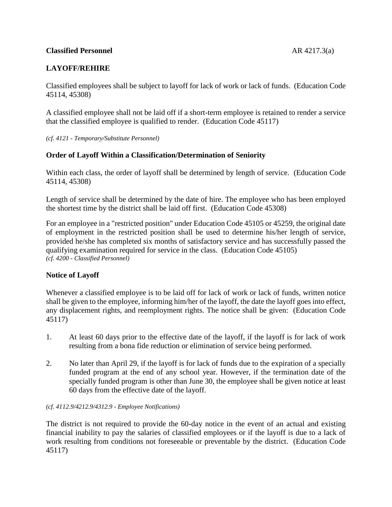### **Classified Personnel** AR 4217.3(a)

# **LAYOFF/REHIRE**

Classified employees shall be subject to layoff for lack of work or lack of funds. (Education Code 45114, 45308)

A classified employee shall not be laid off if a short-term employee is retained to render a service that the classified employee is qualified to render. (Education Code 45117)

*(cf. 4121 - Temporary/Substitute Personnel)*

## **Order of Layoff Within a Classification/Determination of Seniority**

Within each class, the order of layoff shall be determined by length of service. (Education Code 45114, 45308)

Length of service shall be determined by the date of hire. The employee who has been employed the shortest time by the district shall be laid off first. (Education Code 45308)

For an employee in a "restricted position" under Education Code 45105 or 45259, the original date of employment in the restricted position shall be used to determine his/her length of service, provided he/she has completed six months of satisfactory service and has successfully passed the qualifying examination required for service in the class. (Education Code 45105) *(cf. 4200 - Classified Personnel)*

# **Notice of Layoff**

Whenever a classified employee is to be laid off for lack of work or lack of funds, written notice shall be given to the employee, informing him/her of the layoff, the date the layoff goes into effect, any displacement rights, and reemployment rights. The notice shall be given: (Education Code 45117)

- 1. At least 60 days prior to the effective date of the layoff, if the layoff is for lack of work resulting from a bona fide reduction or elimination of service being performed.
- 2. No later than April 29, if the layoff is for lack of funds due to the expiration of a specially funded program at the end of any school year. However, if the termination date of the specially funded program is other than June 30, the employee shall be given notice at least 60 days from the effective date of the layoff.

#### *(cf. 4112.9/4212.9/4312.9 - Employee Notifications)*

The district is not required to provide the 60-day notice in the event of an actual and existing financial inability to pay the salaries of classified employees or if the layoff is due to a lack of work resulting from conditions not foreseeable or preventable by the district. (Education Code 45117)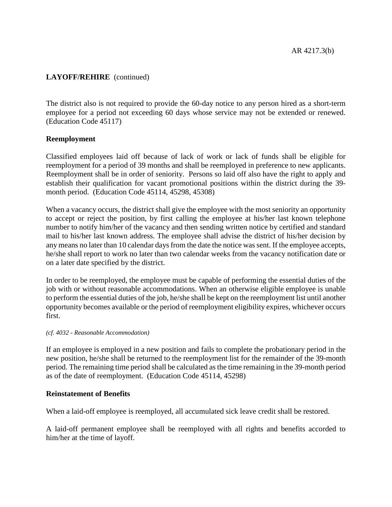# **LAYOFF/REHIRE** (continued)

The district also is not required to provide the 60-day notice to any person hired as a short-term employee for a period not exceeding 60 days whose service may not be extended or renewed. (Education Code 45117)

### **Reemployment**

Classified employees laid off because of lack of work or lack of funds shall be eligible for reemployment for a period of 39 months and shall be reemployed in preference to new applicants. Reemployment shall be in order of seniority. Persons so laid off also have the right to apply and establish their qualification for vacant promotional positions within the district during the 39 month period. (Education Code 45114, 45298, 45308)

When a vacancy occurs, the district shall give the employee with the most seniority an opportunity to accept or reject the position, by first calling the employee at his/her last known telephone number to notify him/her of the vacancy and then sending written notice by certified and standard mail to his/her last known address. The employee shall advise the district of his/her decision by any means no later than 10 calendar days from the date the notice was sent. If the employee accepts, he/she shall report to work no later than two calendar weeks from the vacancy notification date or on a later date specified by the district.

In order to be reemployed, the employee must be capable of performing the essential duties of the job with or without reasonable accommodations. When an otherwise eligible employee is unable to perform the essential duties of the job, he/she shall be kept on the reemployment list until another opportunity becomes available or the period of reemployment eligibility expires, whichever occurs first.

#### *(cf. 4032 - Reasonable Accommodation)*

If an employee is employed in a new position and fails to complete the probationary period in the new position, he/she shall be returned to the reemployment list for the remainder of the 39-month period. The remaining time period shall be calculated as the time remaining in the 39-month period as of the date of reemployment. (Education Code 45114, 45298)

### **Reinstatement of Benefits**

When a laid-off employee is reemployed, all accumulated sick leave credit shall be restored.

A laid-off permanent employee shall be reemployed with all rights and benefits accorded to him/her at the time of layoff.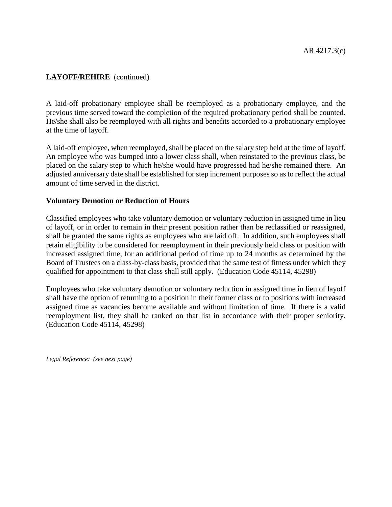# **LAYOFF/REHIRE** (continued)

A laid-off probationary employee shall be reemployed as a probationary employee, and the previous time served toward the completion of the required probationary period shall be counted. He/she shall also be reemployed with all rights and benefits accorded to a probationary employee at the time of layoff.

A laid-off employee, when reemployed, shall be placed on the salary step held at the time of layoff. An employee who was bumped into a lower class shall, when reinstated to the previous class, be placed on the salary step to which he/she would have progressed had he/she remained there. An adjusted anniversary date shall be established for step increment purposes so as to reflect the actual amount of time served in the district.

### **Voluntary Demotion or Reduction of Hours**

Classified employees who take voluntary demotion or voluntary reduction in assigned time in lieu of layoff, or in order to remain in their present position rather than be reclassified or reassigned, shall be granted the same rights as employees who are laid off. In addition, such employees shall retain eligibility to be considered for reemployment in their previously held class or position with increased assigned time, for an additional period of time up to 24 months as determined by the Board of Trustees on a class-by-class basis, provided that the same test of fitness under which they qualified for appointment to that class shall still apply. (Education Code 45114, 45298)

Employees who take voluntary demotion or voluntary reduction in assigned time in lieu of layoff shall have the option of returning to a position in their former class or to positions with increased assigned time as vacancies become available and without limitation of time. If there is a valid reemployment list, they shall be ranked on that list in accordance with their proper seniority. (Education Code 45114, 45298)

*Legal Reference: (see next page)*